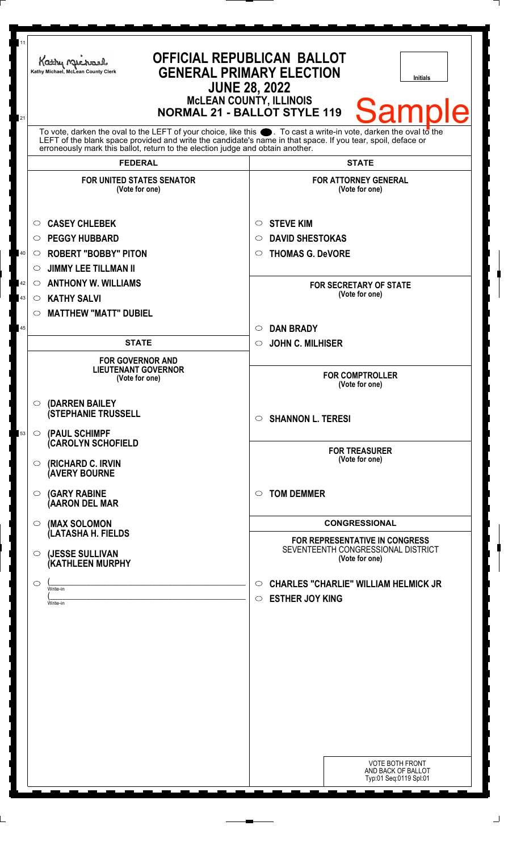| 11 | Kathy Muc<br>Kathy Michael, McLean County Clerk                                                                                                                                                                                                                                                                              | <b>OFFICIAL REPUBLICAN BALLOT</b><br><b>GENERAL PRIMARY ELECTION</b><br><b>Initials</b><br><b>JUNE 28, 2022</b><br><b>MCLEAN COUNTY, ILLINOIS</b> |
|----|------------------------------------------------------------------------------------------------------------------------------------------------------------------------------------------------------------------------------------------------------------------------------------------------------------------------------|---------------------------------------------------------------------------------------------------------------------------------------------------|
| 21 |                                                                                                                                                                                                                                                                                                                              | <b>Sample</b><br><b>NORMAL 21 - BALLOT STYLE 119</b>                                                                                              |
|    | To vote, darken the oval to the LEFT of your choice, like this $\bullet$ . To cast a write-in vote, darken the oval to the<br>LEFT of the blank space provided and write the candidate's name in that space. If you tear, spoil, deface or<br>erroneously mark this ballot, return to the election judge and obtain another. |                                                                                                                                                   |
|    | <b>FEDERAL</b>                                                                                                                                                                                                                                                                                                               | <b>STATE</b>                                                                                                                                      |
|    | <b>FOR UNITED STATES SENATOR</b><br>(Vote for one)                                                                                                                                                                                                                                                                           | <b>FOR ATTORNEY GENERAL</b><br>(Vote for one)                                                                                                     |
|    | <b>CASEY CHLEBEK</b><br>O                                                                                                                                                                                                                                                                                                    | <b>STEVE KIM</b><br>O                                                                                                                             |
|    | <b>PEGGY HUBBARD</b><br>$\circ$                                                                                                                                                                                                                                                                                              | <b>DAVID SHESTOKAS</b><br>$\circ$                                                                                                                 |
| 40 | <b>ROBERT "BOBBY" PITON</b><br>$\circ$                                                                                                                                                                                                                                                                                       | <b>THOMAS G. DeVORE</b><br>O                                                                                                                      |
|    | <b>JIMMY LEE TILLMAN II</b><br>O                                                                                                                                                                                                                                                                                             |                                                                                                                                                   |
| 42 | <b>ANTHONY W. WILLIAMS</b><br>$\circ$                                                                                                                                                                                                                                                                                        | <b>FOR SECRETARY OF STATE</b>                                                                                                                     |
| 43 | <b>KATHY SALVI</b><br>$\circ$                                                                                                                                                                                                                                                                                                | (Vote for one)                                                                                                                                    |
|    | <b>MATTHEW "MATT" DUBIEL</b><br>$\circ$                                                                                                                                                                                                                                                                                      |                                                                                                                                                   |
| 45 |                                                                                                                                                                                                                                                                                                                              | <b>DAN BRADY</b><br>$\circ$                                                                                                                       |
|    | <b>STATE</b>                                                                                                                                                                                                                                                                                                                 | <b>JOHN C. MILHISER</b><br>$\circ$                                                                                                                |
|    | <b>FOR GOVERNOR AND</b>                                                                                                                                                                                                                                                                                                      |                                                                                                                                                   |
|    | <b>LIEUTENANT GOVERNOR</b><br>(Vote for one)                                                                                                                                                                                                                                                                                 | <b>FOR COMPTROLLER</b><br>(Vote for one)                                                                                                          |
| 53 | $\circ$ (DARREN BAILEY<br><b>(STEPHANIE TRUSSELL</b><br>$\circ$ (PAUL SCHIMPF                                                                                                                                                                                                                                                | <b>SHANNON L. TERESI</b><br>◯                                                                                                                     |
|    | (CAROLYN SCHOFIELD<br>$\circ$ (RICHARD C. IRVIN<br><b>(AVERY BOURNE</b>                                                                                                                                                                                                                                                      | <b>FOR TREASURER</b><br>(Vote for one)                                                                                                            |
|    | <b>(GARY RABINE</b><br>$\circ$<br>(AARON DEL MAR                                                                                                                                                                                                                                                                             | <b>TOM DEMMER</b><br>$\bigcirc$                                                                                                                   |
|    | $\circ$ (MAX SOLOMON<br>(LATASHA H. FIELDS                                                                                                                                                                                                                                                                                   | <b>CONGRESSIONAL</b>                                                                                                                              |
|    | (JESSE SULLIVAN<br>$\circ$                                                                                                                                                                                                                                                                                                   | <b>FOR REPRESENTATIVE IN CONGRESS</b><br>SEVENTEENTH CONGRESSIONAL DISTRICT                                                                       |
|    | (KATHLEEN MURPHY                                                                                                                                                                                                                                                                                                             | (Vote for one)                                                                                                                                    |
|    | $\circ$<br>Write-in<br>Write-in                                                                                                                                                                                                                                                                                              | <b>CHARLES "CHARLIE" WILLIAM HELMICK JR</b><br>$\circ$<br><b>ESTHER JOY KING</b><br>$\circ$                                                       |
|    |                                                                                                                                                                                                                                                                                                                              | <b>VOTE BOTH FRONT</b><br>AND BACK OF BALLOT<br>Typ:01 Seq:0119 Spl:01                                                                            |